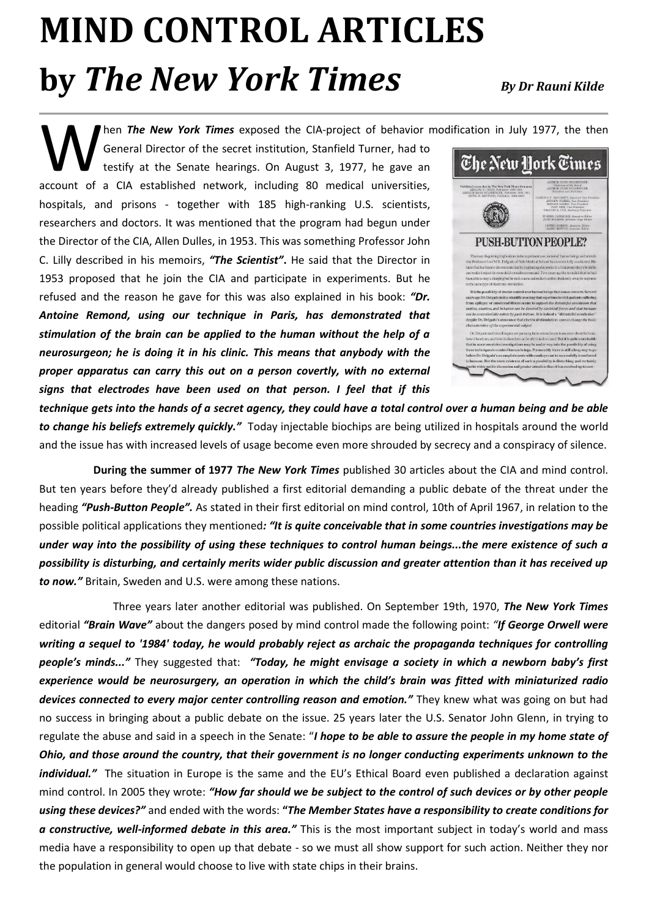## **MIND CONTROL ARTICLES by** *The New York Times**By Dr Rauni Kilde*

hen *The New York Times* exposed the CIA-project of behavior modification in July 1977, the then

General Director of the secret institution, Stanfield Turner, had to testify at the Senate hearings. On August 3, 1977, he gave an Men The New York Times exposed the CIA-project of behavior r General Director of the secret institution, Stanfield Turner, had to testify at the Senate hearings. On August 3, 1977, he gave an account of a CIA established n hospitals, and prisons - together with 185 high-ranking U.S. scientists, researchers and doctors. It was mentioned that the program had begun under the Director of the CIA, Allen Dulles, in 1953. This was something Professor John C. Lilly described in his memoirs, *"The Scientist"***.** He said that the Director in 1953 proposed that he join the CIA and participate in experiments. But he refused and the reason he gave for this was also explained in his book: *"Dr. Antoine Remond, using our technique in Paris, has demonstrated that stimulation of the brain can be applied to the human without the help of a neurosurgeon; he is doing it in his clinic. This means that anybody with the proper apparatus can carry this out on a person covertly, with no external signs that electrodes have been used on that person. I feel that if this* 



*technique gets into the hands of a secret agency, they could have a total control over a human being and be able to change his beliefs extremely quickly."* Today injectable biochips are being utilized in hospitals around the world and the issue has with increased levels of usage become even more shrouded by secrecy and a conspiracy of silence.

**During the summer of 1977** *The New York Times* published 30 articles about the CIA and mind control. But ten years before they'd already published a first editorial demanding a public debate of the threat under the heading *"Push-Button People".* As stated in their first editorial on mind control, 10th of April 1967, in relation to the possible political applications they mentioned*: "It is quite conceivable that in some countries investigations may be under way into the possibility of using these techniques to control human beings...the mere existence of such a possibility is disturbing, and certainly merits wider public discussion and greater attention than it has received up to now."* Britain, Sweden and U.S. were among these nations.

Three years later another editorial was published. On September 19th, 1970, *The New York Times* editorial *"Brain Wave"* about the dangers posed by mind control made the following point: *"If George Orwell were writing a sequel to '1984' today, he would probably reject as archaic the propaganda techniques for controlling people's minds..."* They suggested that: *"Today, he might envisage a society in which a newborn baby's first experience would be neurosurgery, an operation in which the child's brain was fitted with miniaturized radio devices connected to every major center controlling reason and emotion."* They knew what was going on but had no success in bringing about a public debate on the issue. 25 years later the U.S. Senator John Glenn, in trying to regulate the abuse and said in a speech in the Senate: "*I hope to be able to assure the people in my home state of Ohio, and those around the country, that their government is no longer conducting experiments unknown to the individual."* The situation in Europe is the same and the EU's Ethical Board even published a declaration against mind control. In 2005 they wrote: *"How far should we be subject to the control of such devices or by other people using these devices?"* and ended with the words: **"***The Member States have a responsibility to create conditions for a constructive, well-informed debate in this area."* This is the most important subject in today's world and mass media have a responsibility to open up that debate - so we must all show support for such action. Neither they nor the population in general would choose to live with state chips in their brains.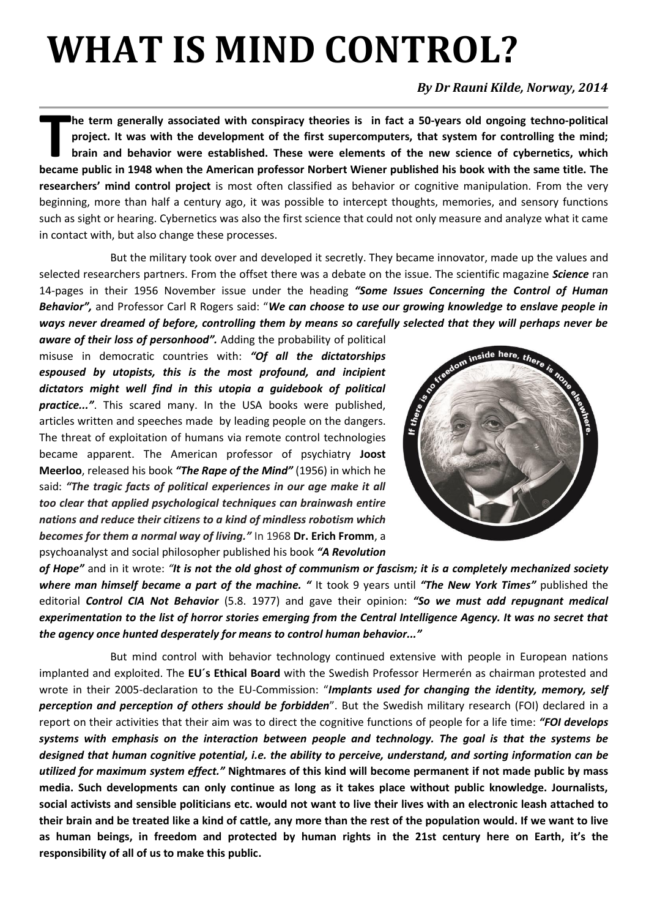## **WHAT IS MIND CONTROL?**

### *By Dr Rauni Kilde, Norway, 2014*

**he term generally associated with conspiracy theories is in fact a 50-years old ongoing techno-political project. It was with the development of the first supercomputers, that system for controlling the mind; brain and behavior were established. These were elements of the new science of cybernetics, which be term generally associated with conspiracy theories is in fact a 50-years old ongoing techno-political project. It was with the development of the first supercomputers, that system for controlling the mind; brain and be researchers' mind control project** is most often classified as behavior or cognitive manipulation. From the very beginning, more than half a century ago, it was possible to intercept thoughts, memories, and sensory functions such as sight or hearing. Cybernetics was also the first science that could not only measure and analyze what it came in contact with, but also change these processes.

But the military took over and developed it secretly. They became innovator, made up the values and selected researchers partners. From the offset there was a debate on the issue. The scientific magazine *Science* ran 14-pages in their 1956 November issue under the heading *"Some Issues Concerning the Control of Human Behavior",* and Professor Carl R Rogers said: "*We can choose to use our growing knowledge to enslave people in ways never dreamed of before, controlling them by means so carefully selected that they will perhaps never be* 

*aware of their loss of personhood".* Adding the probability of political misuse in democratic countries with: *"Of all the dictatorships espoused by utopists, this is the most profound, and incipient dictators might well find in this utopia a guidebook of political practice..."*. This scared many. In the USA books were published, articles written and speeches made by leading people on the dangers. The threat of exploitation of humans via remote control technologies became apparent. The American professor of psychiatry **Joost Meerloo**, released his book *"The Rape of the Mind"* (1956) in which he said: *"The tragic facts of political experiences in our age make it all too clear that applied psychological techniques can brainwash entire nations and reduce their citizens to a kind of mindless robotism which becomes for them a normal way of living."* In 1968 **Dr. Erich Fromm**, a psychoanalyst and social philosopher published his book *"A Revolution* 



*of Hope"* and in it wrote: *"It is not the old ghost of communism or fascism; it is a completely mechanized society where man himself became a part of the machine. "* It took 9 years until *"The New York Times"* published the editorial *Control CIA Not Behavior* (5.8. 1977) and gave their opinion: *"So we must add repugnant medical experimentation to the list of horror stories emerging from the Central Intelligence Agency. It was no secret that the agency once hunted desperately for means to control human behavior..."*

But mind control with behavior technology continued extensive with people in European nations implanted and exploited. The **EU´s Ethical Board** with the Swedish Professor Hermerén as chairman protested and wrote in their 2005-declaration to the EU-Commission: "*Implants used for changing the identity, memory, self perception and perception of others should be forbidden*". But the Swedish military research (FOI) declared in a report on their activities that their aim was to direct the cognitive functions of people for a life time: *"FOI develops systems with emphasis on the interaction between people and technology. The goal is that the systems be designed that human cognitive potential, i.e. the ability to perceive, understand, and sorting information can be utilized for maximum system effect."* **Nightmares of this kind will become permanent if not made public by mass media. Such developments can only continue as long as it takes place without public knowledge. Journalists, social activists and sensible politicians etc. would not want to live their lives with an electronic leash attached to their brain and be treated like a kind of cattle, any more than the rest of the population would. If we want to live as human beings, in freedom and protected by human rights in the 21st century here on Earth, it's the responsibility of all of us to make this public.**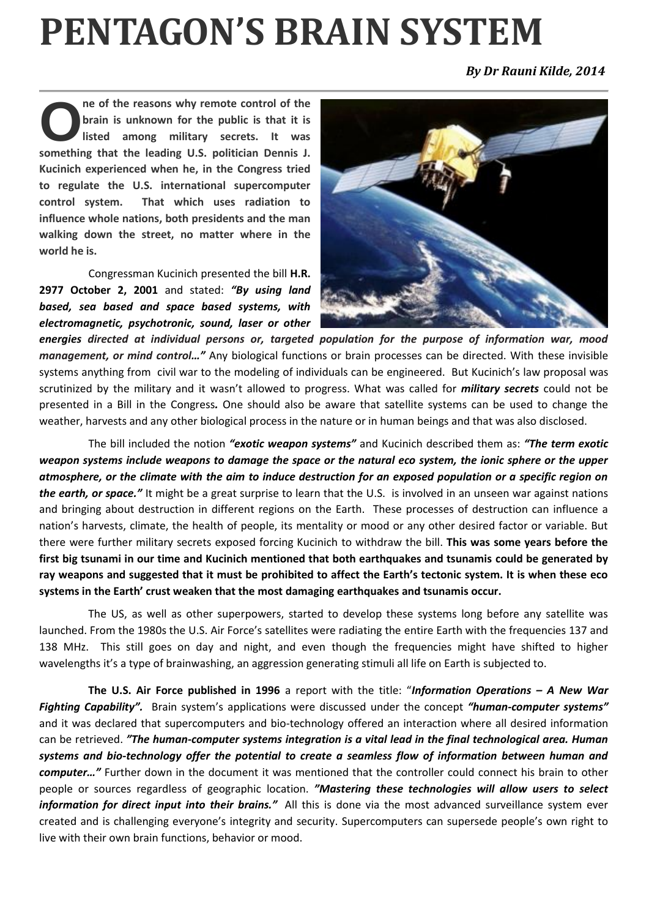## **PENTAGON'S BRAIN SYSTEM**

*By Dr [Ra](http://newsvoice.se/author/robert/)uni Kilde, 2014*

**ne of the reasons why remote control of the brain is unknown for the public is that it is listed among military secrets. It was something that the leading U.S. politician Dennis J. Kucinich experienced when he, in the Congress tried to regulate the U.S. international supercomputer control system. That which uses radiation to influence whole nations, both presidents and the man walking down the street, no matter where in the world he is. O**

Congressman Kucinich presented the bill **H.R. 2977 October 2, 2001** and stated: *"By using land based, sea based and space based systems, with electromagnetic, psychotronic, sound, laser or other* 



*energies directed at individual persons or, targeted population for the purpose of information war, mood management, or mind control…"* Any biological functions or brain processes can be directed. With these invisible systems anything from civil war to the modeling of individuals can be engineered. But Kucinich's law proposal was scrutinized by the military and it wasn't allowed to progress. What was called for *military secrets* could not be presented in a Bill in the Congress*.* One should also be aware that satellite systems can be used to change the weather, harvests and any other biological process in the nature or in human beings and that was also disclosed.

The bill included the notion *"exotic weapon systems"* and Kucinich described them as: *"The term exotic weapon systems include weapons to damage the space or the natural eco system, the ionic sphere or the upper atmosphere, or the climate with the aim to induce destruction for an exposed population or a specific region on the earth, or space."* It might be a great surprise to learn that the U.S. is involved in an unseen war against nations and bringing about destruction in different regions on the Earth. These processes of destruction can influence a nation's harvests, climate, the health of people, its mentality or mood or any other desired factor or variable. But there were further military secrets exposed forcing Kucinich to withdraw the bill. **This was some years before the first big tsunami in our time and Kucinich mentioned that both earthquakes and tsunamis could be generated by ray weapons and suggested that it must be prohibited to affect the Earth's tectonic system. It is when these eco systems in the Earth' crust weaken that the most damaging earthquakes and tsunamis occur.**

The US, as well as other superpowers, started to develop these systems long before any satellite was launched. From the 1980s the U.S. Air Force's satellites were radiating the entire Earth with the frequencies 137 and 138 MHz. This still goes on day and night, and even though the frequencies might have shifted to higher wavelengths it's a type of brainwashing, an aggression generating stimuli all life on Earth is subjected to.

**The U.S. Air Force published in 1996** a report with the title: "*Information Operations – A New War Fighting Capability".* Brain system's applications were discussed under the concept *"human-computer systems"* and it was declared that supercomputers and bio-technology offered an interaction where all desired information can be retrieved. *"The human-computer systems integration is a vital lead in the final technological area. Human systems and bio-technology offer the potential to create a seamless flow of information between human and computer…"* Further down in the document it was mentioned that the controller could connect his brain to other people or sources regardless of geographic location. *"Mastering these technologies will allow users to select information for direct input into their brains."* All this is done via the most advanced surveillance system ever created and is challenging everyone's integrity and security. Supercomputers can supersede people's own right to live with their own brain functions, behavior or mood.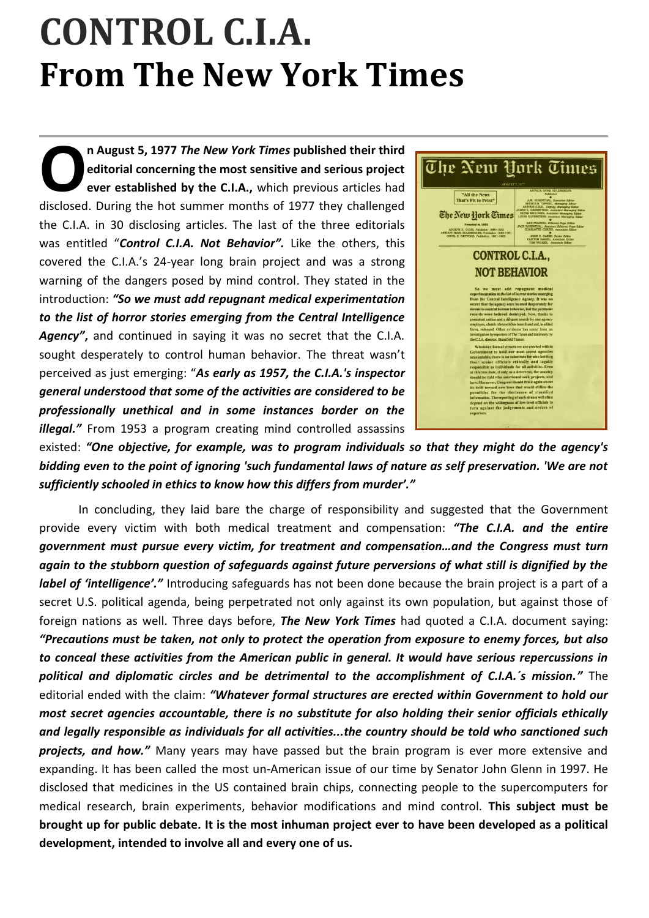## **CONTROL C.I.A. From The New York Times**

**n August 5, 1977** *The New York Times* **published their third editorial concerning the most sensitive and serious project ever established by the C.I.A.,** which previous articles had **n** August 5, 1977 The New York Times published their third editorial concerning the most sensitive and serious project ever established by the C.I.A., which previous articles had disclosed. During the hot summer months of the C.I.A. in 30 disclosing articles. The last of the three editorials was entitled "*Control C.I.A. Not Behavior".* Like the others, this covered the C.I.A.'s 24-year long brain project and was a strong warning of the dangers posed by mind control. They stated in the introduction: *"So we must add repugnant medical experimentation to the list of horror stories emerging from the Central Intelligence Agency"***,** and continued in saying it was no secret that the C.I.A. sought desperately to control human behavior. The threat wasn't perceived as just emerging: "*As early as 1957, the C.I.A.'s inspector general understood that some of the activities are considered to be professionally unethical and in some instances border on the illegal."* From 1953 a program creating mind controlled assassins



existed: *"One objective, for example, was to program individuals so that they might do the agency's bidding even to the point of ignoring 'such fundamental laws of nature as self preservation. 'We are not sufficiently schooled in ethics to know how this differs from murder'."* 

In concluding, they laid bare the charge of responsibility and suggested that the Government provide every victim with both medical treatment and compensation: *"The C.I.A. and the entire government must pursue every victim, for treatment and compensation…and the Congress must turn again to the stubborn question of safeguards against future perversions of what still is dignified by the label of 'intelligence'.*" Introducing safeguards has not been done because the brain project is a part of a secret U.S. political agenda, being perpetrated not only against its own population, but against those of foreign nations as well. Three days before, *The New York Times* had quoted a C.I.A. document saying: *"Precautions must be taken, not only to protect the operation from exposure to enemy forces, but also to conceal these activities from the American public in general. It would have serious repercussions in political and diplomatic circles and be detrimental to the accomplishment of C.I.A.´s mission."* The editorial ended with the claim: *"Whatever formal structures are erected within Government to hold our most secret agencies accountable, there is no substitute for also holding their senior officials ethically and legally responsible as individuals for all activities...the country should be told who sanctioned such projects, and how."* Many years may have passed but the brain program is ever more extensive and expanding. It has been called the most un-American issue of our time by Senator John Glenn in 1997. He disclosed that medicines in the US contained brain chips, connecting people to the supercomputers for medical research, brain experiments, behavior modifications and mind control. **This subject must be brought up for public debate. It is the most inhuman project ever to have been developed as a political development, intended to involve all and every one of us.**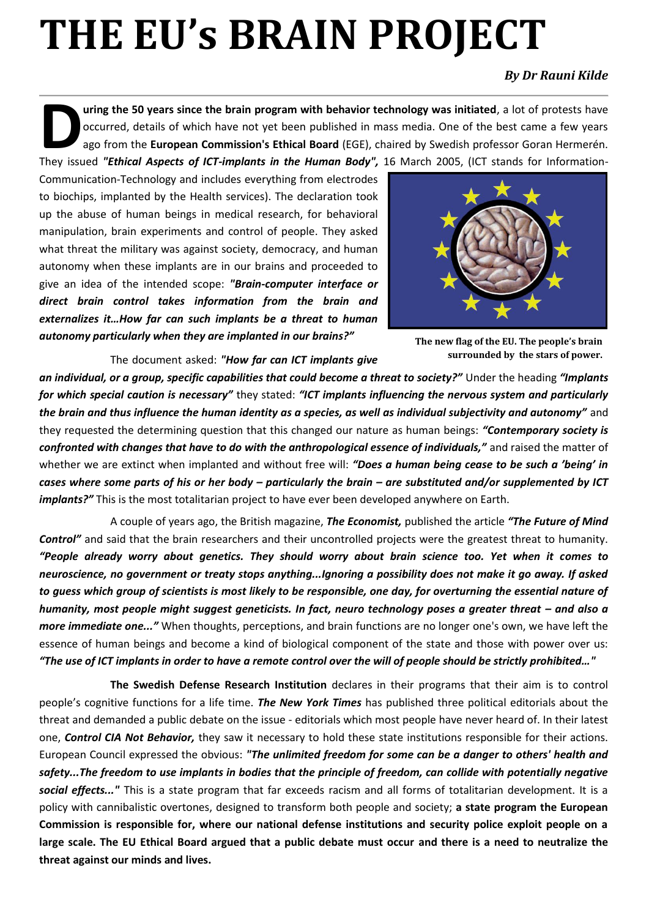# **THE EU's BRAIN PROJECT**

#### *By Dr Rauni Kilde*

**uring the 50 years since the brain program with behavior technology was initiated**, a lot of protests have occurred, details of which have not yet been published in mass media. One of the best came a few years ago from the **European Commission's Ethical Board** (EGE), chaired by Swedish professor Goran Hermerén. They issued "Ethical Aspects of *ICT-implants in the Human Body"*, 16 March 2005, (ICT stands for Information-**They issued "Ethical Aspects of** *ICT-implants in the Human Body"***, 16 March 2005, (ICT stands for Information-**

Communication-Technology and includes everything from electrodes to biochips, implanted by the Health services). The declaration took up the abuse of human beings in medical research, for behavioral manipulation, brain experiments and control of people. They asked what threat the military was against society, democracy, and human autonomy when these implants are in our brains and proceeded to give an idea of the intended scope: *"Brain-computer interface or direct brain control takes information from the brain and externalizes it…How far can such implants be a threat to human autonomy particularly when they are implanted in our brains?"*

The document asked: *"How far can ICT implants give* 



**The new flag of the EU. The people's brain surrounded by the stars of power.** 

*an individual, or a group, specific capabilities that could become a threat to society?"* Under the heading *"Implants for which special caution is necessary"* they stated: *"ICT implants influencing the nervous system and particularly the brain and thus influence the human identity as a species, as well as individual subjectivity and autonomy"* and they requested the determining question that this changed our nature as human beings: *"Contemporary society is confronted with changes that have to do with the anthropological essence of individuals,"* and raised the matter of whether we are extinct when implanted and without free will: *"Does a human being cease to be such a 'being' in cases where some parts of his or her body – particularly the brain – are substituted and/or supplemented by ICT implants?"* This is the most totalitarian project to have ever been developed anywhere on Earth.

A couple of years ago, the British magazine, *The Economist,* published the article *"The Future of Mind Control"* and said that the brain researchers and their uncontrolled projects were the greatest threat to humanity. *"People already worry about genetics. They should worry about brain science too. Yet when it comes to neuroscience, no government or treaty stops anything...Ignoring a possibility does not make it go away. If asked to guess which group of scientists is most likely to be responsible, one day, for overturning the essential nature of humanity, most people might suggest geneticists. In fact, neuro technology poses a greater threat – and also a more immediate one..."* When thoughts, perceptions, and brain functions are no longer one's own, we have left the essence of human beings and become a kind of biological component of the state and those with power over us: *"The use of ICT implants in order to have a remote control over the will of people should be strictly prohibited…"* 

**The Swedish Defense Research Institution** declares in their programs that their aim is to control people's cognitive functions for a life time. *The New York Times* has published three political editorials about the threat and demanded a public debate on the issue - editorials which most people have never heard of. In their latest one, *Control CIA Not Behavior,* they saw it necessary to hold these state institutions responsible for their actions. European Council expressed the obvious: *"The unlimited freedom for some can be a danger to others' health and safety...The freedom to use implants in bodies that the principle of freedom, can collide with potentially negative social effects..."* This is a state program that far exceeds racism and all forms of totalitarian development. It is a policy with cannibalistic overtones, designed to transform both people and society; **a state program the European Commission is responsible for, where our national defense institutions and security police exploit people on a large scale. The EU Ethical Board argued that a public debate must occur and there is a need to neutralize the threat against our minds and lives.**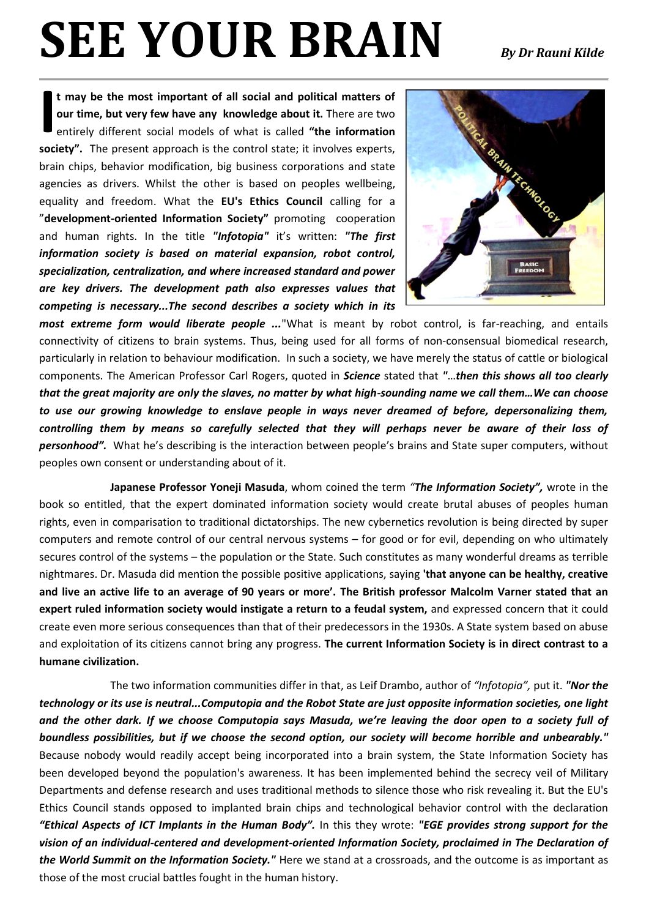# **SEE YOUR BRAIN** *By Dr Rauni Kilde*

**t may be the most important of all social and political matters of our time, but very few have any knowledge about it.** There are two entirely different social models of what is called **"the information society".** The present approach is the control state; it involves experts, brain chips, behavior modification, big business corporations and state agencies as drivers. Whilst the other is based on peoples wellbeing, equality and freedom. What the **EU's Ethics Council** calling for a "**development-oriented Information Society"** promotingcooperation and human rights. In the title *"Infotopia"* it's written: *"The first information society is based on material expansion, robot control, specialization, centralization, and where increased standard and power are key drivers. The development path also expresses values that competing is necessary...The second describes a society which in its*  **I**



*most extreme form would liberate people ...*"What is meant by robot control, is far-reaching, and entails connectivity of citizens to brain systems. Thus, being used for all forms of non-consensual biomedical research, particularly in relation to behaviour modification. In such a society, we have merely the status of cattle or biological components. The American Professor Carl Rogers, quoted in *Science* stated that *"*…*then this shows all too clearly that the great majority are only the slaves, no matter by what high-sounding name we call them…We can choose to use our growing knowledge to enslave people in ways never dreamed of before, depersonalizing them, controlling them by means so carefully selected that they will perhaps never be aware of their loss of personhood".* What he's describing is the interaction between people's brains and State super computers, without peoples own consent or understanding about of it.

**Japanese Professor Yoneji Masuda**, whom coined the term *"The Information Society",* wrote in the book so entitled, that the expert dominated information society would create brutal abuses of peoples human rights, even in comparisation to traditional dictatorships. The new cybernetics revolution is being directed by super computers and remote control of our central nervous systems – for good or for evil, depending on who ultimately secures control of the systems – the population or the State. Such constitutes as many wonderful dreams as terrible nightmares. Dr. Masuda did mention the possible positive applications, saying **'that anyone can be healthy, creative and live an active life to an average of 90 years or more'. The British professor Malcolm Varner stated that an expert ruled information society would instigate a return to a feudal system,** and expressed concern that it could create even more serious consequences than that of their predecessors in the 1930s. A State system based on abuse and exploitation of its citizens cannot bring any progress. **The current Information Society is in direct contrast to a humane civilization.** 

The two information communities differ in that, as Leif Drambo, author of *"Infotopia",* put it. *"Nor the technology or its use is neutral...Computopia and the Robot State are just opposite information societies, one light and the other dark. If we choose Computopia says Masuda, we're leaving the door open to a society full of boundless possibilities, but if we choose the second option, our society will become horrible and unbearably."* Because nobody would readily accept being incorporated into a brain system, the State Information Society has been developed beyond the population's awareness. It has been implemented behind the secrecy veil of Military Departments and defense research and uses traditional methods to silence those who risk revealing it. But the EU's Ethics Council stands opposed to implanted brain chips and technological behavior control with the declaration *"Ethical Aspects of ICT Implants in the Human Body".* In this they wrote: *"EGE provides strong support for the vision of an individual-centered and development-oriented Information Society, proclaimed in The Declaration of the World Summit on the Information Society."* Here we stand at a crossroads, and the outcome is as important as those of the most crucial battles fought in the human history.